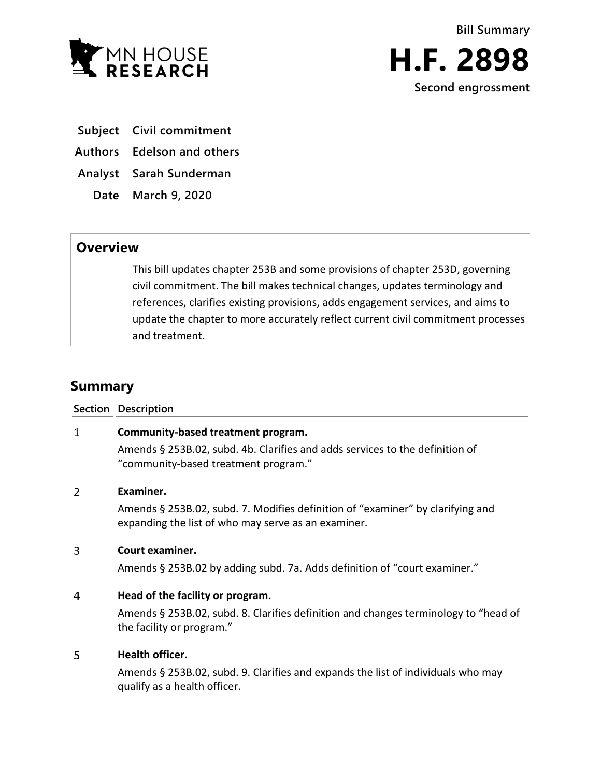

**Subject Civil commitment**

**Authors Edelson and others**

**Analyst Sarah Sunderman**

**Date March 9, 2020**

# **Overview**

This bill updates chapter 253B and some provisions of chapter 253D, governing civil commitment. The bill makes technical changes, updates terminology and references, clarifies existing provisions, adds engagement services, and aims to update the chapter to more accurately reflect current civil commitment processes and treatment.

# **Summary**

## **Section Description**

#### $\mathbf{1}$ **Community-based treatment program.**

Amends § 253B.02, subd. 4b. Clarifies and adds services to the definition of "community-based treatment program."

#### $\overline{2}$ **Examiner.**

Amends § 253B.02, subd. 7. Modifies definition of "examiner" by clarifying and expanding the list of who may serve as an examiner.

#### $\overline{3}$ **Court examiner.**

Amends § 253B.02 by adding subd. 7a. Adds definition of "court examiner."

#### $\overline{4}$ **Head of the facility or program.**

Amends § 253B.02, subd. 8. Clarifies definition and changes terminology to "head of the facility or program."

#### 5 **Health officer.**

Amends § 253B.02, subd. 9. Clarifies and expands the list of individuals who may qualify as a health officer.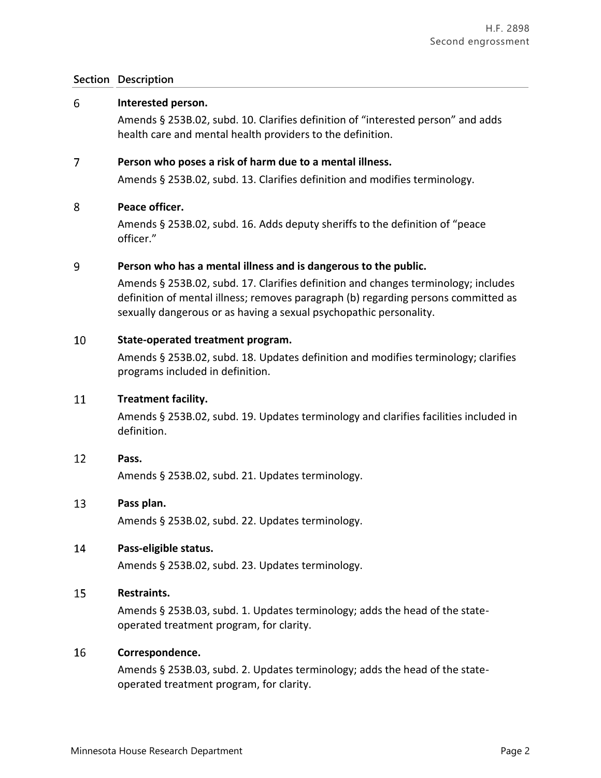#### 6 **Interested person.**

Amends § 253B.02, subd. 10. Clarifies definition of "interested person" and adds health care and mental health providers to the definition.

#### $\overline{7}$ **Person who poses a risk of harm due to a mental illness.**

Amends § 253B.02, subd. 13. Clarifies definition and modifies terminology.

#### 8 **Peace officer.**

Amends § 253B.02, subd. 16. Adds deputy sheriffs to the definition of "peace officer."

#### 9 **Person who has a mental illness and is dangerous to the public.**

Amends § 253B.02, subd. 17. Clarifies definition and changes terminology; includes definition of mental illness; removes paragraph (b) regarding persons committed as sexually dangerous or as having a sexual psychopathic personality.

#### 10 **State-operated treatment program.**

Amends § 253B.02, subd. 18. Updates definition and modifies terminology; clarifies programs included in definition.

#### 11 **Treatment facility.**

Amends § 253B.02, subd. 19. Updates terminology and clarifies facilities included in definition.

#### 12 **Pass.**

Amends § 253B.02, subd. 21. Updates terminology.

#### 13 **Pass plan.**

Amends § 253B.02, subd. 22. Updates terminology.

#### 14 **Pass-eligible status.**

Amends § 253B.02, subd. 23. Updates terminology.

#### 15 **Restraints.**

Amends § 253B.03, subd. 1. Updates terminology; adds the head of the stateoperated treatment program, for clarity.

#### 16 **Correspondence.**

Amends § 253B.03, subd. 2. Updates terminology; adds the head of the stateoperated treatment program, for clarity.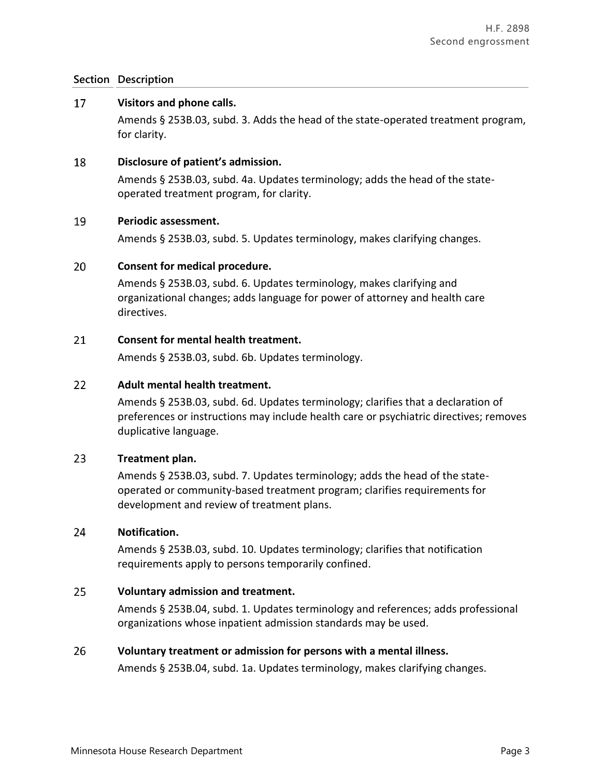#### 17 **Visitors and phone calls.**

Amends § 253B.03, subd. 3. Adds the head of the state-operated treatment program, for clarity.

#### 18 **Disclosure of patient's admission.**

Amends § 253B.03, subd. 4a. Updates terminology; adds the head of the stateoperated treatment program, for clarity.

#### 19 **Periodic assessment.**

Amends § 253B.03, subd. 5. Updates terminology, makes clarifying changes.

#### 20 **Consent for medical procedure.**

Amends § 253B.03, subd. 6. Updates terminology, makes clarifying and organizational changes; adds language for power of attorney and health care directives.

#### 21 **Consent for mental health treatment.**

Amends § 253B.03, subd. 6b. Updates terminology.

#### 22 **Adult mental health treatment.**

Amends § 253B.03, subd. 6d. Updates terminology; clarifies that a declaration of preferences or instructions may include health care or psychiatric directives; removes duplicative language.

#### 23 **Treatment plan.**

Amends § 253B.03, subd. 7. Updates terminology; adds the head of the stateoperated or community-based treatment program; clarifies requirements for development and review of treatment plans.

#### 24 **Notification.**

Amends § 253B.03, subd. 10. Updates terminology; clarifies that notification requirements apply to persons temporarily confined.

#### 25 **Voluntary admission and treatment.**

Amends § 253B.04, subd. 1. Updates terminology and references; adds professional organizations whose inpatient admission standards may be used.

#### 26 **Voluntary treatment or admission for persons with a mental illness.**

Amends § 253B.04, subd. 1a. Updates terminology, makes clarifying changes.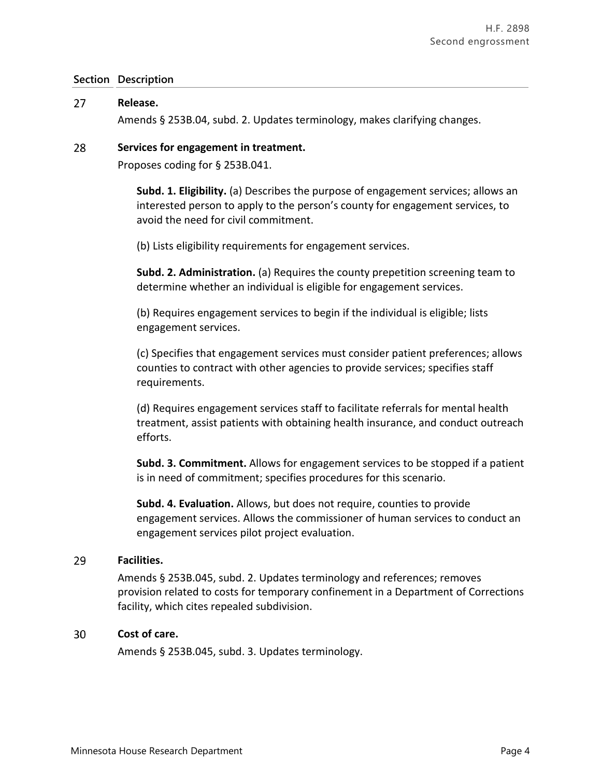#### 27 **Release.**

Amends § 253B.04, subd. 2. Updates terminology, makes clarifying changes.

#### 28 **Services for engagement in treatment.**

Proposes coding for § 253B.041.

**Subd. 1. Eligibility.** (a) Describes the purpose of engagement services; allows an interested person to apply to the person's county for engagement services, to avoid the need for civil commitment.

(b) Lists eligibility requirements for engagement services.

**Subd. 2. Administration.** (a) Requires the county prepetition screening team to determine whether an individual is eligible for engagement services.

(b) Requires engagement services to begin if the individual is eligible; lists engagement services.

(c) Specifies that engagement services must consider patient preferences; allows counties to contract with other agencies to provide services; specifies staff requirements.

(d) Requires engagement services staff to facilitate referrals for mental health treatment, assist patients with obtaining health insurance, and conduct outreach efforts.

**Subd. 3. Commitment.** Allows for engagement services to be stopped if a patient is in need of commitment; specifies procedures for this scenario.

**Subd. 4. Evaluation.** Allows, but does not require, counties to provide engagement services. Allows the commissioner of human services to conduct an engagement services pilot project evaluation.

#### 29 **Facilities.**

Amends § 253B.045, subd. 2. Updates terminology and references; removes provision related to costs for temporary confinement in a Department of Corrections facility, which cites repealed subdivision.

#### 30 **Cost of care.**

Amends § 253B.045, subd. 3. Updates terminology.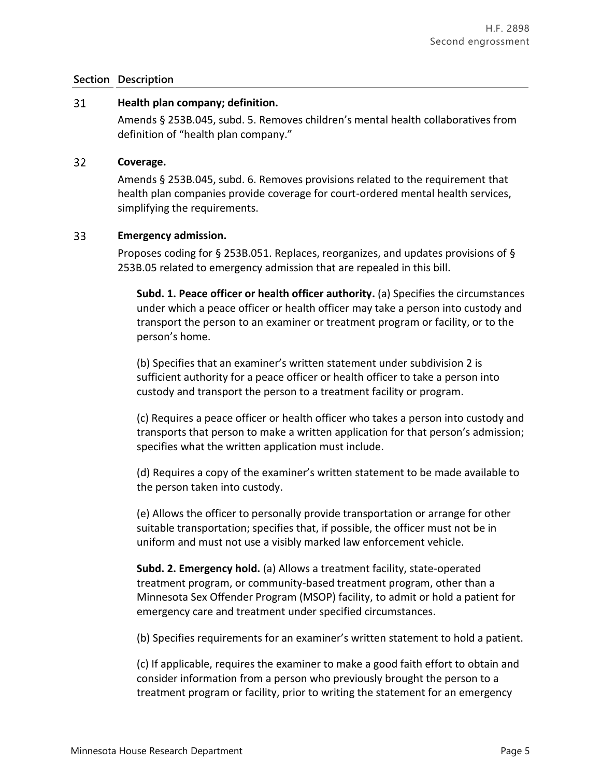#### 31 **Health plan company; definition.**

Amends § 253B.045, subd. 5. Removes children's mental health collaboratives from definition of "health plan company."

#### $32<sub>2</sub>$ **Coverage.**

Amends § 253B.045, subd. 6. Removes provisions related to the requirement that health plan companies provide coverage for court-ordered mental health services, simplifying the requirements.

#### 33 **Emergency admission.**

Proposes coding for § 253B.051. Replaces, reorganizes, and updates provisions of § 253B.05 related to emergency admission that are repealed in this bill.

**Subd. 1. Peace officer or health officer authority.** (a) Specifies the circumstances under which a peace officer or health officer may take a person into custody and transport the person to an examiner or treatment program or facility, or to the person's home.

(b) Specifies that an examiner's written statement under subdivision 2 is sufficient authority for a peace officer or health officer to take a person into custody and transport the person to a treatment facility or program.

(c) Requires a peace officer or health officer who takes a person into custody and transports that person to make a written application for that person's admission; specifies what the written application must include.

(d) Requires a copy of the examiner's written statement to be made available to the person taken into custody.

(e) Allows the officer to personally provide transportation or arrange for other suitable transportation; specifies that, if possible, the officer must not be in uniform and must not use a visibly marked law enforcement vehicle.

**Subd. 2. Emergency hold.** (a) Allows a treatment facility, state-operated treatment program, or community-based treatment program, other than a Minnesota Sex Offender Program (MSOP) facility, to admit or hold a patient for emergency care and treatment under specified circumstances.

(b) Specifies requirements for an examiner's written statement to hold a patient.

(c) If applicable, requires the examiner to make a good faith effort to obtain and consider information from a person who previously brought the person to a treatment program or facility, prior to writing the statement for an emergency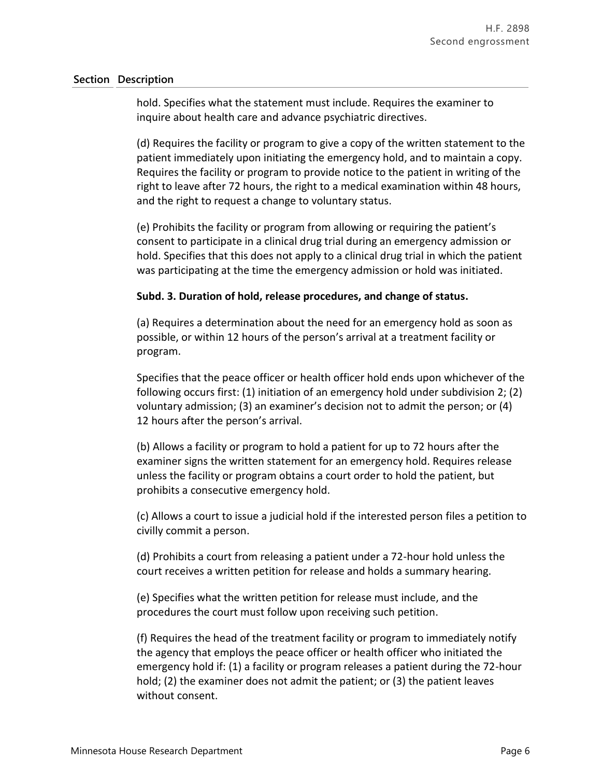hold. Specifies what the statement must include. Requires the examiner to inquire about health care and advance psychiatric directives.

(d) Requires the facility or program to give a copy of the written statement to the patient immediately upon initiating the emergency hold, and to maintain a copy. Requires the facility or program to provide notice to the patient in writing of the right to leave after 72 hours, the right to a medical examination within 48 hours, and the right to request a change to voluntary status.

(e) Prohibits the facility or program from allowing or requiring the patient's consent to participate in a clinical drug trial during an emergency admission or hold. Specifies that this does not apply to a clinical drug trial in which the patient was participating at the time the emergency admission or hold was initiated.

## **Subd. 3. Duration of hold, release procedures, and change of status.**

(a) Requires a determination about the need for an emergency hold as soon as possible, or within 12 hours of the person's arrival at a treatment facility or program.

Specifies that the peace officer or health officer hold ends upon whichever of the following occurs first: (1) initiation of an emergency hold under subdivision 2; (2) voluntary admission; (3) an examiner's decision not to admit the person; or (4) 12 hours after the person's arrival.

(b) Allows a facility or program to hold a patient for up to 72 hours after the examiner signs the written statement for an emergency hold. Requires release unless the facility or program obtains a court order to hold the patient, but prohibits a consecutive emergency hold.

(c) Allows a court to issue a judicial hold if the interested person files a petition to civilly commit a person.

(d) Prohibits a court from releasing a patient under a 72-hour hold unless the court receives a written petition for release and holds a summary hearing.

(e) Specifies what the written petition for release must include, and the procedures the court must follow upon receiving such petition.

(f) Requires the head of the treatment facility or program to immediately notify the agency that employs the peace officer or health officer who initiated the emergency hold if: (1) a facility or program releases a patient during the 72-hour hold; (2) the examiner does not admit the patient; or (3) the patient leaves without consent.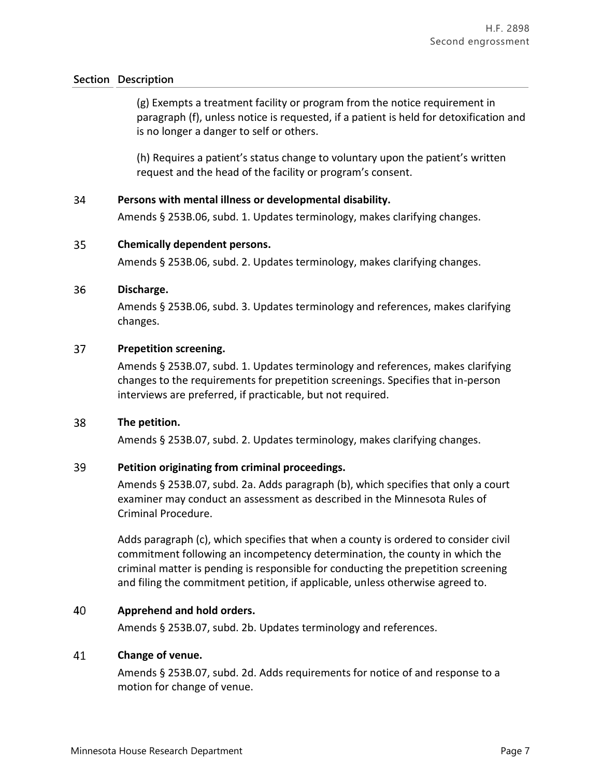(g) Exempts a treatment facility or program from the notice requirement in paragraph (f), unless notice is requested, if a patient is held for detoxification and is no longer a danger to self or others.

(h) Requires a patient's status change to voluntary upon the patient's written request and the head of the facility or program's consent.

#### 34 **Persons with mental illness or developmental disability.**

Amends § 253B.06, subd. 1. Updates terminology, makes clarifying changes.

#### 35 **Chemically dependent persons.**

Amends § 253B.06, subd. 2. Updates terminology, makes clarifying changes.

#### 36 **Discharge.**

Amends § 253B.06, subd. 3. Updates terminology and references, makes clarifying changes.

#### 37 **Prepetition screening.**

Amends § 253B.07, subd. 1. Updates terminology and references, makes clarifying changes to the requirements for prepetition screenings. Specifies that in-person interviews are preferred, if practicable, but not required.

#### 38 **The petition.**

Amends § 253B.07, subd. 2. Updates terminology, makes clarifying changes.

#### 39 **Petition originating from criminal proceedings.**

Amends § 253B.07, subd. 2a. Adds paragraph (b), which specifies that only a court examiner may conduct an assessment as described in the Minnesota Rules of Criminal Procedure.

Adds paragraph (c), which specifies that when a county is ordered to consider civil commitment following an incompetency determination, the county in which the criminal matter is pending is responsible for conducting the prepetition screening and filing the commitment petition, if applicable, unless otherwise agreed to.

#### 40 **Apprehend and hold orders.**

Amends § 253B.07, subd. 2b. Updates terminology and references.

#### 41 **Change of venue.**

Amends § 253B.07, subd. 2d. Adds requirements for notice of and response to a motion for change of venue.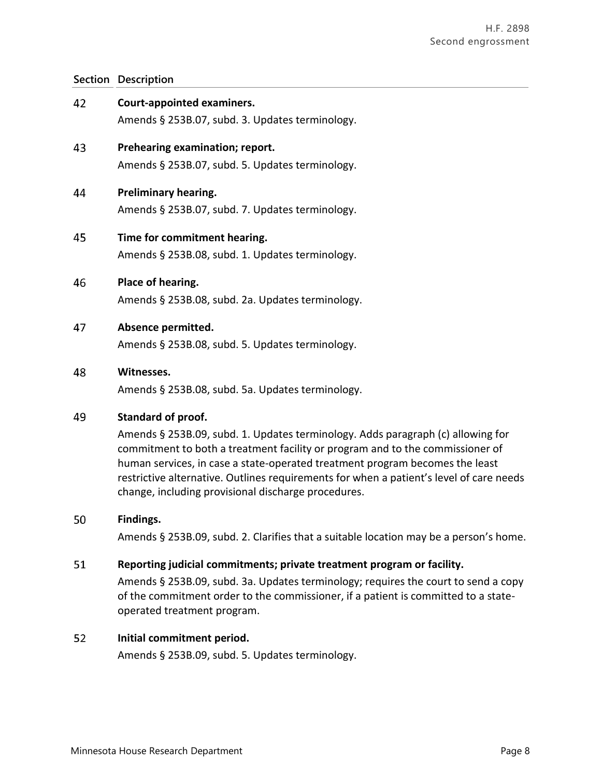| 42 | <b>Court-appointed examiners.</b><br>Amends § 253B.07, subd. 3. Updates terminology.                                                                                                                                                                                                                                                                                                                                     |
|----|--------------------------------------------------------------------------------------------------------------------------------------------------------------------------------------------------------------------------------------------------------------------------------------------------------------------------------------------------------------------------------------------------------------------------|
| 43 | Prehearing examination; report.<br>Amends § 253B.07, subd. 5. Updates terminology.                                                                                                                                                                                                                                                                                                                                       |
| 44 | <b>Preliminary hearing.</b><br>Amends § 253B.07, subd. 7. Updates terminology.                                                                                                                                                                                                                                                                                                                                           |
| 45 | Time for commitment hearing.<br>Amends § 253B.08, subd. 1. Updates terminology.                                                                                                                                                                                                                                                                                                                                          |
| 46 | Place of hearing.<br>Amends § 253B.08, subd. 2a. Updates terminology.                                                                                                                                                                                                                                                                                                                                                    |
| 47 | Absence permitted.<br>Amends § 253B.08, subd. 5. Updates terminology.                                                                                                                                                                                                                                                                                                                                                    |
| 48 | Witnesses.<br>Amends § 253B.08, subd. 5a. Updates terminology.                                                                                                                                                                                                                                                                                                                                                           |
| 49 | Standard of proof.<br>Amends § 253B.09, subd. 1. Updates terminology. Adds paragraph (c) allowing for<br>commitment to both a treatment facility or program and to the commissioner of<br>human services, in case a state-operated treatment program becomes the least<br>restrictive alternative. Outlines requirements for when a patient's level of care needs<br>change, including provisional discharge procedures. |
| 50 | Findings.<br>Amends § 253B.09, subd. 2. Clarifies that a suitable location may be a person's home.                                                                                                                                                                                                                                                                                                                       |
| 51 | Reporting judicial commitments; private treatment program or facility.<br>Amends § 253B.09, subd. 3a. Updates terminology; requires the court to send a copy<br>of the commitment order to the commissioner, if a patient is committed to a state-<br>operated treatment program.                                                                                                                                        |
| 52 | Initial commitment period.                                                                                                                                                                                                                                                                                                                                                                                               |

Amends § 253B.09, subd. 5. Updates terminology.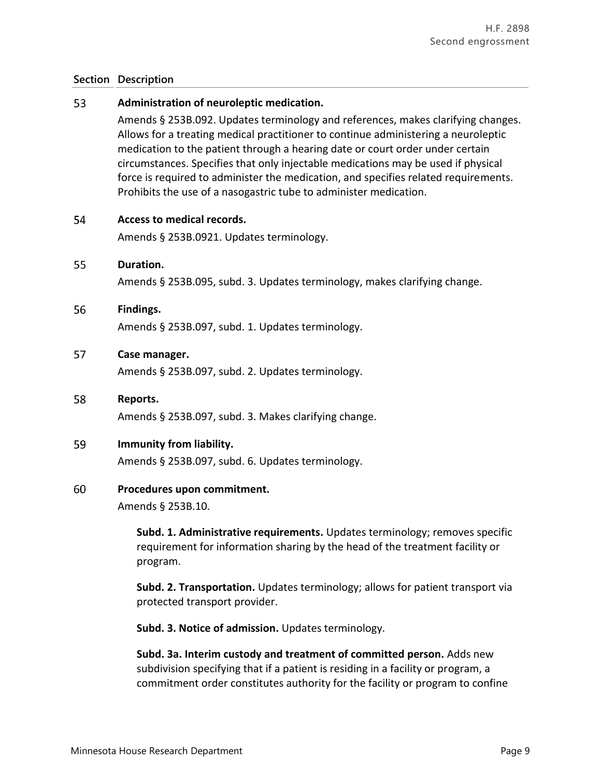#### 53 **Administration of neuroleptic medication.**

Amends § 253B.092. Updates terminology and references, makes clarifying changes. Allows for a treating medical practitioner to continue administering a neuroleptic medication to the patient through a hearing date or court order under certain circumstances. Specifies that only injectable medications may be used if physical force is required to administer the medication, and specifies related requirements. Prohibits the use of a nasogastric tube to administer medication.

#### 54 **Access to medical records.**

Amends § 253B.0921. Updates terminology.

#### 55 **Duration.**

Amends § 253B.095, subd. 3. Updates terminology, makes clarifying change.

#### 56 **Findings.**

Amends § 253B.097, subd. 1. Updates terminology.

#### 57 **Case manager.**

Amends § 253B.097, subd. 2. Updates terminology.

#### 58 **Reports.**

Amends § 253B.097, subd. 3. Makes clarifying change.

#### 59 **Immunity from liability.**

Amends § 253B.097, subd. 6. Updates terminology.

#### 60 **Procedures upon commitment.**

Amends § 253B.10.

**Subd. 1. Administrative requirements.** Updates terminology; removes specific requirement for information sharing by the head of the treatment facility or program.

**Subd. 2. Transportation.** Updates terminology; allows for patient transport via protected transport provider.

**Subd. 3. Notice of admission.** Updates terminology.

**Subd. 3a. Interim custody and treatment of committed person.** Adds new subdivision specifying that if a patient is residing in a facility or program, a commitment order constitutes authority for the facility or program to confine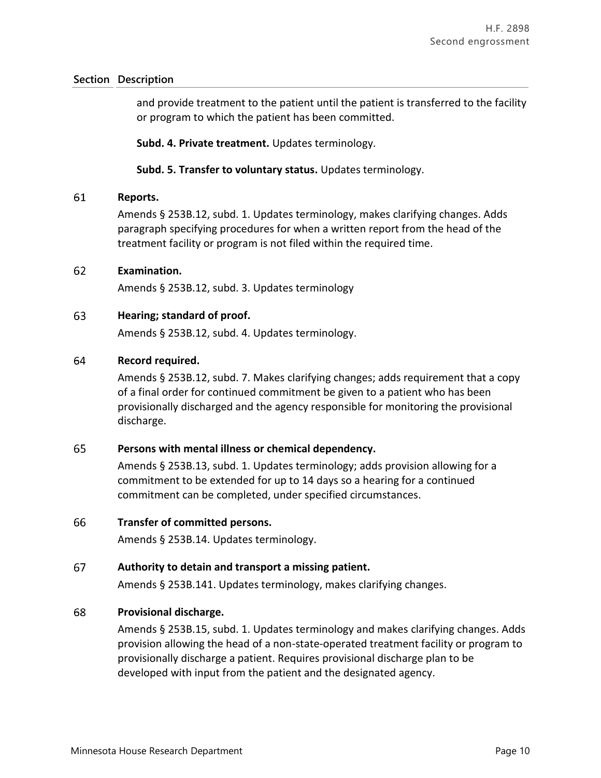and provide treatment to the patient until the patient is transferred to the facility or program to which the patient has been committed.

**Subd. 4. Private treatment.** Updates terminology.

## **Subd. 5. Transfer to voluntary status.** Updates terminology.

#### 61 **Reports.**

Amends § 253B.12, subd. 1. Updates terminology, makes clarifying changes. Adds paragraph specifying procedures for when a written report from the head of the treatment facility or program is not filed within the required time.

#### 62 **Examination.**

Amends § 253B.12, subd. 3. Updates terminology

#### 63 **Hearing; standard of proof.**

Amends § 253B.12, subd. 4. Updates terminology.

#### 64 **Record required.**

Amends § 253B.12, subd. 7. Makes clarifying changes; adds requirement that a copy of a final order for continued commitment be given to a patient who has been provisionally discharged and the agency responsible for monitoring the provisional discharge.

#### 65 **Persons with mental illness or chemical dependency.**

Amends § 253B.13, subd. 1. Updates terminology; adds provision allowing for a commitment to be extended for up to 14 days so a hearing for a continued commitment can be completed, under specified circumstances.

#### 66 **Transfer of committed persons.**

Amends § 253B.14. Updates terminology.

#### 67 **Authority to detain and transport a missing patient.**

Amends § 253B.141. Updates terminology, makes clarifying changes.

#### 68 **Provisional discharge.**

Amends § 253B.15, subd. 1. Updates terminology and makes clarifying changes. Adds provision allowing the head of a non-state-operated treatment facility or program to provisionally discharge a patient. Requires provisional discharge plan to be developed with input from the patient and the designated agency.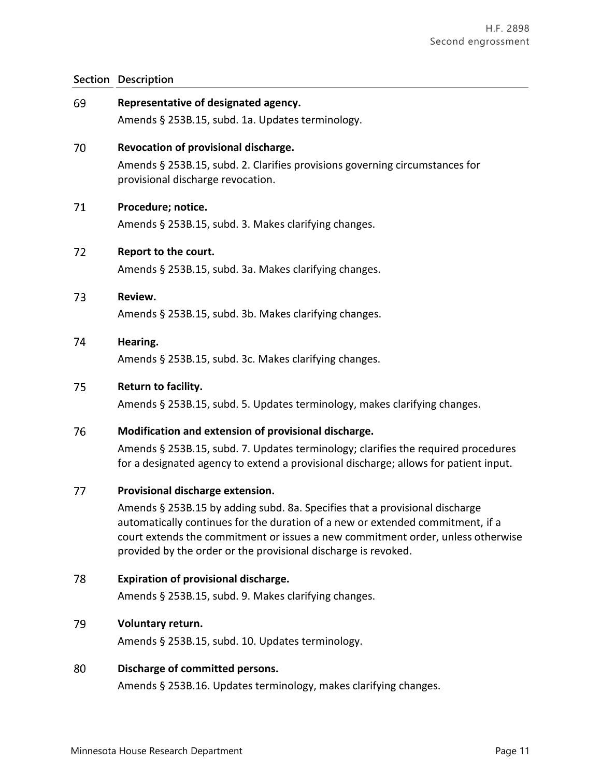| 69 | Representative of designated agency.<br>Amends § 253B.15, subd. 1a. Updates terminology.                                                                                                                                                                                                                                                               |
|----|--------------------------------------------------------------------------------------------------------------------------------------------------------------------------------------------------------------------------------------------------------------------------------------------------------------------------------------------------------|
| 70 | Revocation of provisional discharge.<br>Amends § 253B.15, subd. 2. Clarifies provisions governing circumstances for<br>provisional discharge revocation.                                                                                                                                                                                               |
| 71 | Procedure; notice.<br>Amends § 253B.15, subd. 3. Makes clarifying changes.                                                                                                                                                                                                                                                                             |
| 72 | Report to the court.<br>Amends § 253B.15, subd. 3a. Makes clarifying changes.                                                                                                                                                                                                                                                                          |
| 73 | Review.<br>Amends § 253B.15, subd. 3b. Makes clarifying changes.                                                                                                                                                                                                                                                                                       |
| 74 | Hearing.<br>Amends § 253B.15, subd. 3c. Makes clarifying changes.                                                                                                                                                                                                                                                                                      |
| 75 | Return to facility.<br>Amends § 253B.15, subd. 5. Updates terminology, makes clarifying changes.                                                                                                                                                                                                                                                       |
| 76 | Modification and extension of provisional discharge.<br>Amends § 253B.15, subd. 7. Updates terminology; clarifies the required procedures<br>for a designated agency to extend a provisional discharge; allows for patient input.                                                                                                                      |
| 77 | Provisional discharge extension.<br>Amends § 253B.15 by adding subd. 8a. Specifies that a provisional discharge<br>automatically continues for the duration of a new or extended commitment, if a<br>court extends the commitment or issues a new commitment order, unless otherwise<br>provided by the order or the provisional discharge is revoked. |
| 78 | <b>Expiration of provisional discharge.</b><br>Amends § 253B.15, subd. 9. Makes clarifying changes.                                                                                                                                                                                                                                                    |
| 79 | Voluntary return.<br>Amends § 253B.15, subd. 10. Updates terminology.                                                                                                                                                                                                                                                                                  |
| 80 | Discharge of committed persons.<br>Amends § 253B.16. Updates terminology, makes clarifying changes.                                                                                                                                                                                                                                                    |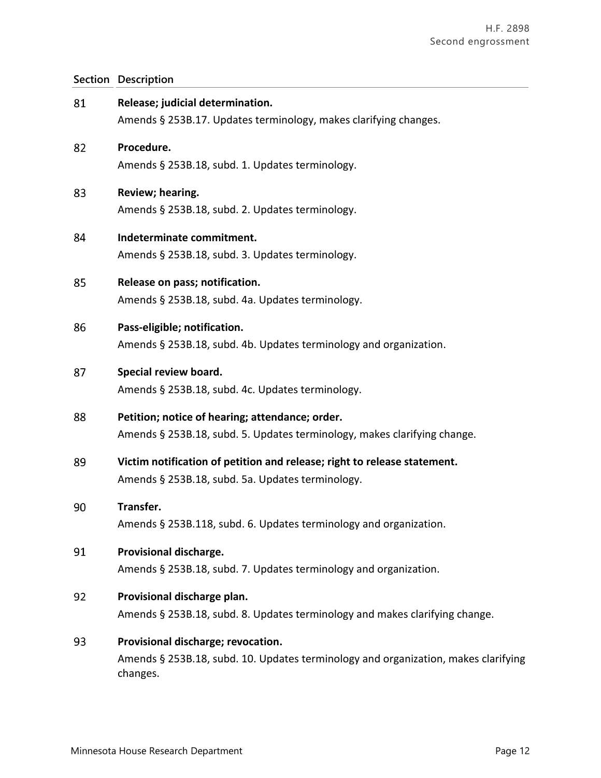| 81 | Release; judicial determination.<br>Amends § 253B.17. Updates terminology, makes clarifying changes.                                 |
|----|--------------------------------------------------------------------------------------------------------------------------------------|
| 82 | Procedure.<br>Amends § 253B.18, subd. 1. Updates terminology.                                                                        |
| 83 | Review; hearing.<br>Amends § 253B.18, subd. 2. Updates terminology.                                                                  |
| 84 | Indeterminate commitment.<br>Amends § 253B.18, subd. 3. Updates terminology.                                                         |
| 85 | Release on pass; notification.<br>Amends § 253B.18, subd. 4a. Updates terminology.                                                   |
| 86 | Pass-eligible; notification.<br>Amends § 253B.18, subd. 4b. Updates terminology and organization.                                    |
| 87 | Special review board.<br>Amends § 253B.18, subd. 4c. Updates terminology.                                                            |
| 88 | Petition; notice of hearing; attendance; order.<br>Amends § 253B.18, subd. 5. Updates terminology, makes clarifying change.          |
| 89 | Victim notification of petition and release; right to release statement.<br>Amends § 253B.18, subd. 5a. Updates terminology.         |
| 90 | Transfer.<br>Amends § 253B.118, subd. 6. Updates terminology and organization.                                                       |
| 91 | Provisional discharge.<br>Amends § 253B.18, subd. 7. Updates terminology and organization.                                           |
| 92 | Provisional discharge plan.<br>Amends § 253B.18, subd. 8. Updates terminology and makes clarifying change.                           |
| 93 | Provisional discharge; revocation.<br>Amends § 253B.18, subd. 10. Updates terminology and organization, makes clarifying<br>changes. |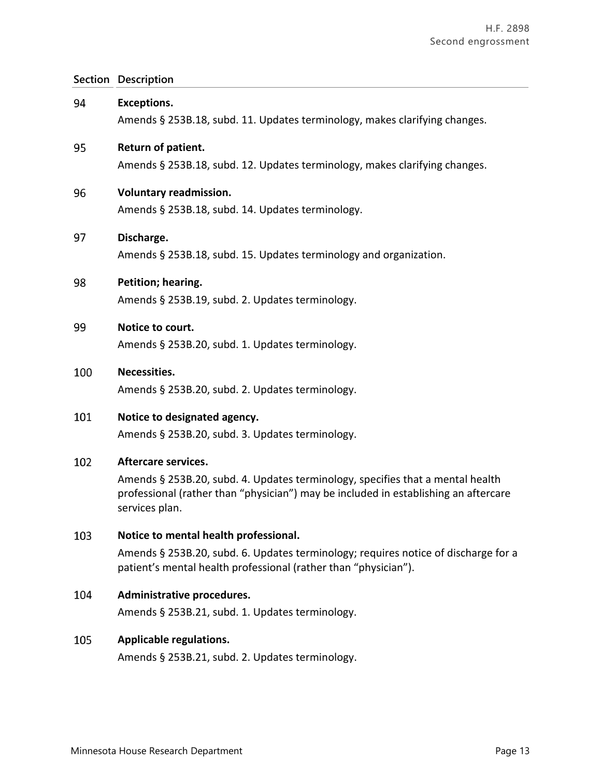| 94  | <b>Exceptions.</b>                                                                                                                                                                      |
|-----|-----------------------------------------------------------------------------------------------------------------------------------------------------------------------------------------|
|     | Amends § 253B.18, subd. 11. Updates terminology, makes clarifying changes.                                                                                                              |
| 95  | Return of patient.                                                                                                                                                                      |
|     | Amends § 253B.18, subd. 12. Updates terminology, makes clarifying changes.                                                                                                              |
| 96  | <b>Voluntary readmission.</b>                                                                                                                                                           |
|     | Amends § 253B.18, subd. 14. Updates terminology.                                                                                                                                        |
| 97  | Discharge.                                                                                                                                                                              |
|     | Amends § 253B.18, subd. 15. Updates terminology and organization.                                                                                                                       |
| 98  | Petition; hearing.                                                                                                                                                                      |
|     | Amends § 253B.19, subd. 2. Updates terminology.                                                                                                                                         |
| 99  | Notice to court.                                                                                                                                                                        |
|     | Amends § 253B.20, subd. 1. Updates terminology.                                                                                                                                         |
| 100 | Necessities.                                                                                                                                                                            |
|     | Amends § 253B.20, subd. 2. Updates terminology.                                                                                                                                         |
| 101 | Notice to designated agency.                                                                                                                                                            |
|     | Amends § 253B.20, subd. 3. Updates terminology.                                                                                                                                         |
| 102 | <b>Aftercare services.</b>                                                                                                                                                              |
|     | Amends § 253B.20, subd. 4. Updates terminology, specifies that a mental health<br>professional (rather than "physician") may be included in establishing an aftercare<br>services plan. |
| 103 | Notice to mental health professional.                                                                                                                                                   |
|     | Amends § 253B.20, subd. 6. Updates terminology; requires notice of discharge for a<br>patient's mental health professional (rather than "physician").                                   |
| 104 | Administrative procedures.                                                                                                                                                              |
|     | Amends § 253B.21, subd. 1. Updates terminology.                                                                                                                                         |
| 105 | <b>Applicable regulations.</b>                                                                                                                                                          |
|     | Amends § 253B.21, subd. 2. Updates terminology.                                                                                                                                         |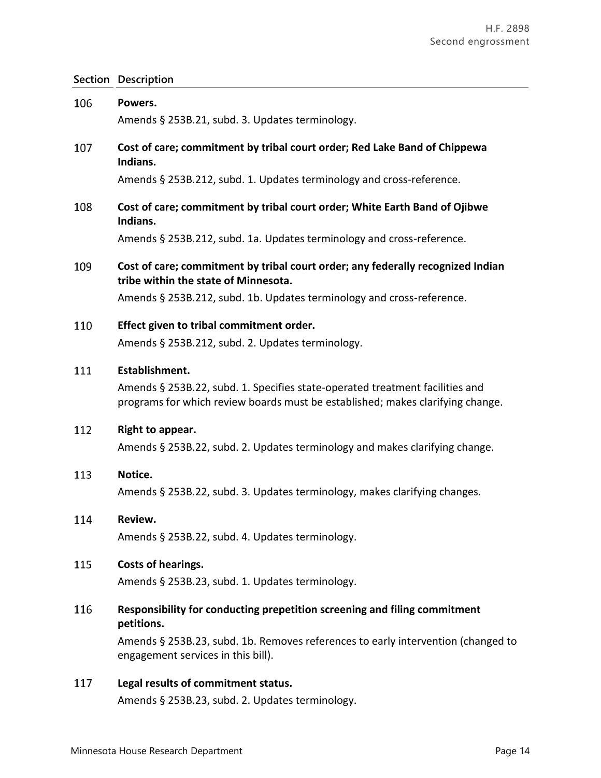| Powers.<br>Amends § 253B.21, subd. 3. Updates terminology.                                                              |
|-------------------------------------------------------------------------------------------------------------------------|
| Cost of care; commitment by tribal court order; Red Lake Band of Chippewa<br>Indians.                                   |
| Amends § 253B.212, subd. 1. Updates terminology and cross-reference.                                                    |
| Cost of care; commitment by tribal court order; White Earth Band of Ojibwe<br>Indians.                                  |
| Amends § 253B.212, subd. 1a. Updates terminology and cross-reference.                                                   |
| Cost of care; commitment by tribal court order; any federally recognized Indian<br>tribe within the state of Minnesota. |
| Amends § 253B.212, subd. 1b. Updates terminology and cross-reference.                                                   |
| Effect given to tribal commitment order.<br>Amends § 253B.212, subd. 2. Updates terminology.                            |
| Establishment.<br>Amends § 253B.22, subd. 1. Specifies state-operated treatment facilities and                          |
| programs for which review boards must be established; makes clarifying change.                                          |
| Right to appear.<br>Amends § 253B.22, subd. 2. Updates terminology and makes clarifying change.                         |
| Notice.                                                                                                                 |
| Amends § 253B.22, subd. 3. Updates terminology, makes clarifying changes.                                               |
| Review.<br>Amends § 253B.22, subd. 4. Updates terminology.                                                              |
| Costs of hearings.<br>Amends § 253B.23, subd. 1. Updates terminology.                                                   |
| Responsibility for conducting prepetition screening and filing commitment<br>petitions.                                 |
| Amends § 253B.23, subd. 1b. Removes references to early intervention (changed to<br>engagement services in this bill).  |
| Legal results of commitment status.<br>Amends § 253B.23, subd. 2. Updates terminology.                                  |
|                                                                                                                         |